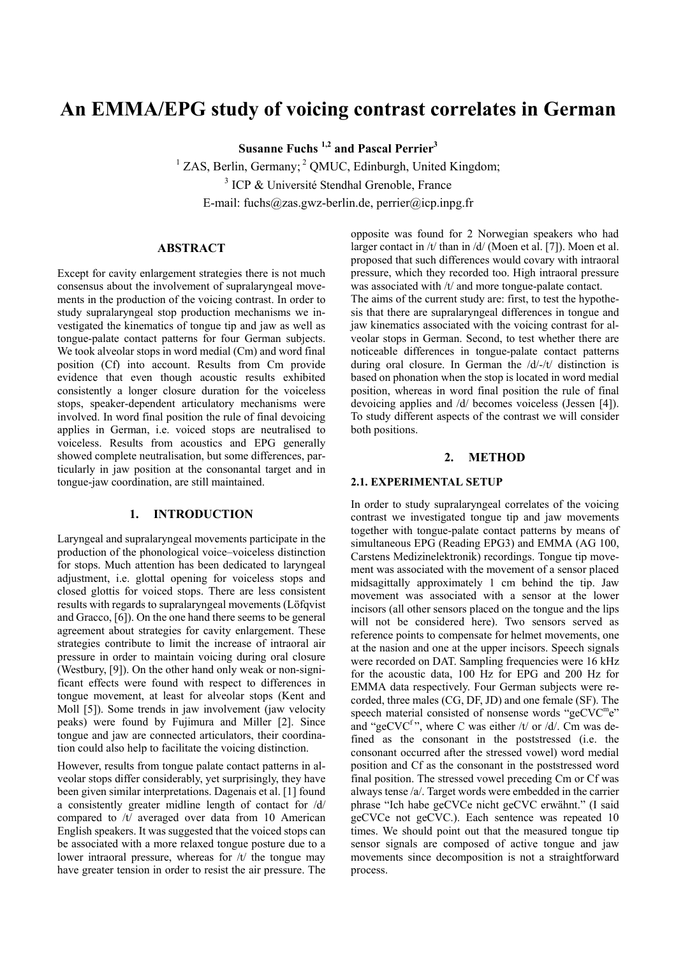# **An EMMA/EPG study of voicing contrast correlates in German**

**Susanne Fuchs 1,2 and Pascal Perrier3**

<sup>1</sup> ZAS, Berlin, Germany; <sup>2</sup> QMUC, Edinburgh, United Kingdom; <sup>3</sup> ICP & Université Stendhal Grenoble, France E-mail: fuchs@zas.gwz-berlin.de, perrier@icp.inpg.fr

# **ABSTRACT**

Except for cavity enlargement strategies there is not much consensus about the involvement of supralaryngeal movements in the production of the voicing contrast. In order to study supralaryngeal stop production mechanisms we investigated the kinematics of tongue tip and jaw as well as tongue-palate contact patterns for four German subjects. We took alveolar stops in word medial (Cm) and word final position (Cf) into account. Results from Cm provide evidence that even though acoustic results exhibited consistently a longer closure duration for the voiceless stops, speaker-dependent articulatory mechanisms were involved. In word final position the rule of final devoicing applies in German, i.e. voiced stops are neutralised to voiceless. Results from acoustics and EPG generally showed complete neutralisation, but some differences, particularly in jaw position at the consonantal target and in tongue-jaw coordination, are still maintained.

### **1. INTRODUCTION**

Laryngeal and supralaryngeal movements participate in the production of the phonological voice–voiceless distinction for stops. Much attention has been dedicated to laryngeal adjustment, i.e. glottal opening for voiceless stops and closed glottis for voiced stops. There are less consistent results with regards to supralaryngeal movements (Löfqvist and Gracco, [6]). On the one hand there seems to be general agreement about strategies for cavity enlargement. These strategies contribute to limit the increase of intraoral air pressure in order to maintain voicing during oral closure (Westbury, [9]). On the other hand only weak or non-significant effects were found with respect to differences in tongue movement, at least for alveolar stops (Kent and Moll [5]). Some trends in jaw involvement (jaw velocity peaks) were found by Fujimura and Miller [2]. Since tongue and jaw are connected articulators, their coordination could also help to facilitate the voicing distinction.

However, results from tongue palate contact patterns in alveolar stops differ considerably, yet surprisingly, they have been given similar interpretations. Dagenais et al. [1] found a consistently greater midline length of contact for /d/ compared to /t/ averaged over data from 10 American English speakers. It was suggested that the voiced stops can be associated with a more relaxed tongue posture due to a lower intraoral pressure, whereas for /t/ the tongue may have greater tension in order to resist the air pressure. The opposite was found for 2 Norwegian speakers who had larger contact in /t/ than in /d/ (Moen et al. [7]). Moen et al. proposed that such differences would covary with intraoral pressure, which they recorded too. High intraoral pressure was associated with /t/ and more tongue-palate contact. The aims of the current study are: first, to test the hypothesis that there are supralaryngeal differences in tongue and jaw kinematics associated with the voicing contrast for alveolar stops in German. Second, to test whether there are noticeable differences in tongue-palate contact patterns during oral closure. In German the /d/-/t/ distinction is based on phonation when the stop is located in word medial position, whereas in word final position the rule of final devoicing applies and /d/ becomes voiceless (Jessen [4]). To study different aspects of the contrast we will consider both positions.

# **2. METHOD**

## **2.1. EXPERIMENTAL SETUP**

In order to study supralaryngeal correlates of the voicing contrast we investigated tongue tip and jaw movements together with tongue-palate contact patterns by means of simultaneous EPG (Reading EPG3) and EMMA (AG 100, Carstens Medizinelektronik) recordings. Tongue tip movement was associated with the movement of a sensor placed midsagittally approximately 1 cm behind the tip. Jaw movement was associated with a sensor at the lower incisors (all other sensors placed on the tongue and the lips will not be considered here). Two sensors served as reference points to compensate for helmet movements, one at the nasion and one at the upper incisors. Speech signals were recorded on DAT. Sampling frequencies were 16 kHz for the acoustic data, 100 Hz for EPG and 200 Hz for EMMA data respectively. Four German subjects were recorded, three males (CG, DF, JD) and one female (SF). The speech material consisted of nonsense words "geCVC<sup>m</sup>e" and "geCVC<sup>f</sup>", where C was either /t/ or /d/. Cm was defined as the consonant in the poststressed (i.e. the consonant occurred after the stressed vowel) word medial position and Cf as the consonant in the poststressed word final position. The stressed vowel preceding Cm or Cf was always tense /a/. Target words were embedded in the carrier phrase "Ich habe geCVCe nicht geCVC erwähnt." (I said geCVCe not geCVC.). Each sentence was repeated 10 times. We should point out that the measured tongue tip sensor signals are composed of active tongue and jaw movements since decomposition is not a straightforward process.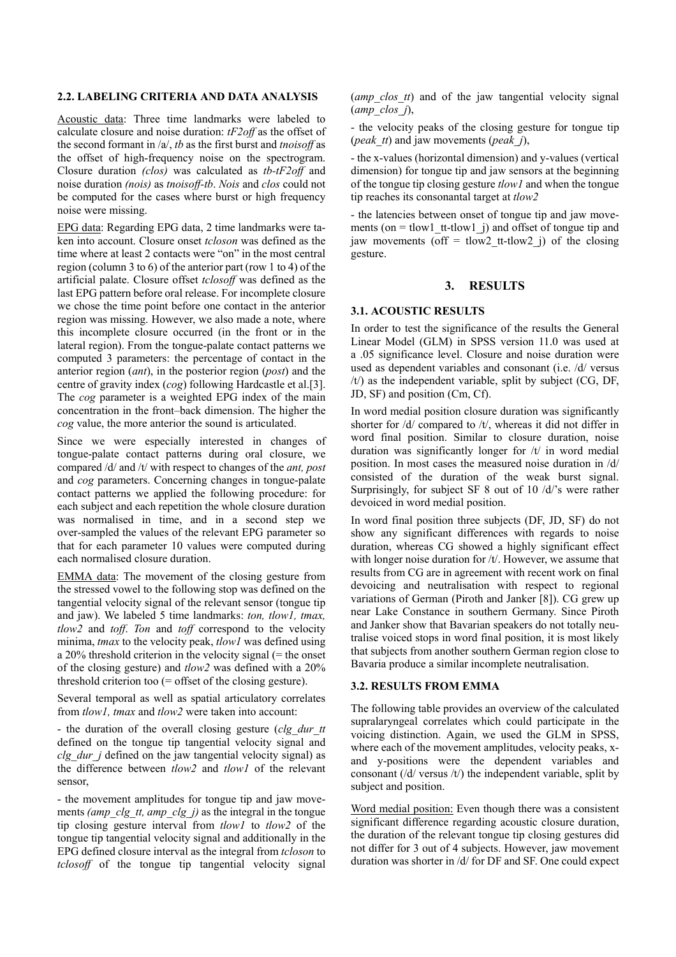## **2.2. LABELING CRITERIA AND DATA ANALYSIS**

Acoustic data: Three time landmarks were labeled to calculate closure and noise duration: *tF2off* as the offset of the second formant in /a/, *tb* as the first burst and *tnoisoff* as the offset of high-frequency noise on the spectrogram. Closure duration *(clos)* was calculated as *tb-tF2off* and noise duration *(nois)* as *tnoisoff-tb*. *Nois* and *clos* could not be computed for the cases where burst or high frequency noise were missing.

EPG data: Regarding EPG data, 2 time landmarks were taken into account. Closure onset *tcloson* was defined as the time where at least 2 contacts were "on" in the most central region (column 3 to 6) of the anterior part (row 1 to 4) of the artificial palate. Closure offset *tclosoff* was defined as the last EPG pattern before oral release. For incomplete closure we chose the time point before one contact in the anterior region was missing. However, we also made a note, where this incomplete closure occurred (in the front or in the lateral region). From the tongue-palate contact patterns we computed 3 parameters: the percentage of contact in the anterior region (*ant*), in the posterior region (*post*) and the centre of gravity index (*cog*) following Hardcastle et al.[3]. The *cog* parameter is a weighted EPG index of the main concentration in the front–back dimension. The higher the *cog* value, the more anterior the sound is articulated.

Since we were especially interested in changes of tongue-palate contact patterns during oral closure, we compared /d/ and /t/ with respect to changes of the *ant, post* and *cog* parameters. Concerning changes in tongue-palate contact patterns we applied the following procedure: for each subject and each repetition the whole closure duration was normalised in time, and in a second step we over-sampled the values of the relevant EPG parameter so that for each parameter 10 values were computed during each normalised closure duration.

EMMA data: The movement of the closing gesture from the stressed vowel to the following stop was defined on the tangential velocity signal of the relevant sensor (tongue tip and jaw). We labeled 5 time landmarks: *ton, tlow1, tmax, tlow2* and *toff*. *Ton* and *toff* correspond to the velocity minima, *tmax* to the velocity peak, *tlow1* was defined using a 20% threshold criterion in the velocity signal (= the onset of the closing gesture) and *tlow2* was defined with a 20% threshold criterion too  $(=$  offset of the closing gesture).

Several temporal as well as spatial articulatory correlates from *tlow1, tmax* and *tlow2* were taken into account:

- the duration of the overall closing gesture (*clg\_dur\_tt* defined on the tongue tip tangential velocity signal and *clg\_dur\_j* defined on the jaw tangential velocity signal) as the difference between *tlow2* and *tlow1* of the relevant sensor,

- the movement amplitudes for tongue tip and jaw movements *(amp\_clg\_tt, amp\_clg\_j)* as the integral in the tongue tip closing gesture interval from *tlow1* to *tlow2* of the tongue tip tangential velocity signal and additionally in the EPG defined closure interval as the integral from *tcloson* to *tclosoff* of the tongue tip tangential velocity signal (*amp\_clos\_tt*) and of the jaw tangential velocity signal (*amp\_clos\_j*),

- the velocity peaks of the closing gesture for tongue tip (*peak\_tt*) and jaw movements (*peak\_j*),

- the x-values (horizontal dimension) and y-values (vertical dimension) for tongue tip and jaw sensors at the beginning of the tongue tip closing gesture *tlow1* and when the tongue tip reaches its consonantal target at *tlow2*

- the latencies between onset of tongue tip and jaw movements (on = tlow1 tt-tlow1  $j$ ) and offset of tongue tip and jaw movements (off = tlow2 tt-tlow2 j) of the closing gesture.

# **3. RESULTS**

#### **3.1. ACOUSTIC RESULTS**

In order to test the significance of the results the General Linear Model (GLM) in SPSS version 11.0 was used at a .05 significance level. Closure and noise duration were used as dependent variables and consonant (i.e. /d/ versus /t/) as the independent variable, split by subject (CG, DF, JD, SF) and position (Cm, Cf).

In word medial position closure duration was significantly shorter for /d/ compared to /t/, whereas it did not differ in word final position. Similar to closure duration, noise duration was significantly longer for /t/ in word medial position. In most cases the measured noise duration in /d/ consisted of the duration of the weak burst signal. Surprisingly, for subject SF 8 out of 10 /d/'s were rather devoiced in word medial position.

In word final position three subjects (DF, JD, SF) do not show any significant differences with regards to noise duration, whereas CG showed a highly significant effect with longer noise duration for /t/. However, we assume that results from CG are in agreement with recent work on final devoicing and neutralisation with respect to regional variations of German (Piroth and Janker [8]). CG grew up near Lake Constance in southern Germany. Since Piroth and Janker show that Bavarian speakers do not totally neutralise voiced stops in word final position, it is most likely that subjects from another southern German region close to Bavaria produce a similar incomplete neutralisation.

## **3.2. RESULTS FROM EMMA**

The following table provides an overview of the calculated supralaryngeal correlates which could participate in the voicing distinction. Again, we used the GLM in SPSS, where each of the movement amplitudes, velocity peaks, xand y-positions were the dependent variables and consonant  $(d/\text{versus } t)$  the independent variable, split by subject and position.

Word medial position: Even though there was a consistent significant difference regarding acoustic closure duration, the duration of the relevant tongue tip closing gestures did not differ for 3 out of 4 subjects. However, jaw movement duration was shorter in /d/ for DF and SF. One could expect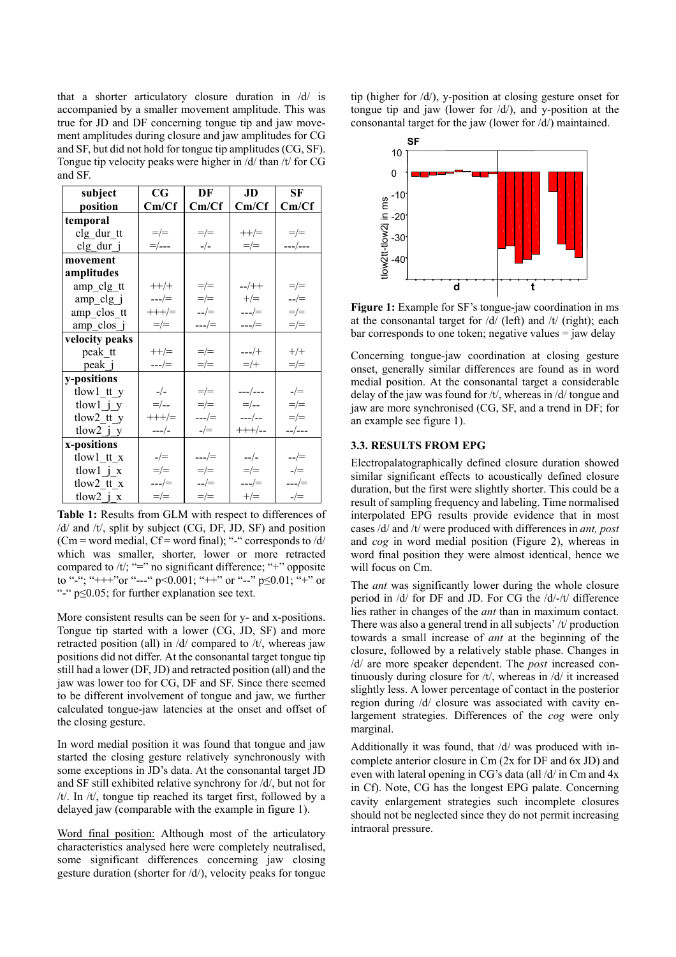that a shorter articulatory closure duration in /d/ is accompanied by a smaller movement amplitude. This was true for JD and DF concerning tongue tip and jaw movement amplitudes during closure and jaw amplitudes for CG and SF, but did not hold for tongue tip amplitudes (CG, SF). Tongue tip velocity peaks were higher in /d/ than /t/ for CG and SF.

| subject                  | $\mathbf{C}\mathbf{G}^-$ | DF                   | JD             | SF                   |
|--------------------------|--------------------------|----------------------|----------------|----------------------|
| position                 | Cm/Cf                    | Cm/Cf                | Cm/Cf          | Cm/Cf                |
| temporal                 |                          |                      |                |                      |
| clg dur tt               | $=/-$                    | $=/-$                | $++/=$         | $=/-$                |
| clg dur j                | =/---                    | $-/-$                | $=/-$          | ---/---              |
| movement                 |                          |                      |                |                      |
| amplitudes               |                          |                      |                |                      |
| amp clg tt               | $++/+$                   | $=/-$                | $-/-$          | $=/-$                |
| amp clg j                | $---/=$                  | $=/-$                | $+/-$          | $\frac{-}{\pm}$      |
| amp clos tt              | $+++/-$                  | $\frac{-}{\sqrt{2}}$ | ---/=          | $=/-$                |
| amp clos j               | $=/-$                    | $---/=$              | $---/=$        | $=/-$                |
| velocity peaks           |                          |                      |                |                      |
| peak tt                  | $++/=$                   | $=/-$                | $---/+$        | $+/+$                |
| peak j                   | ---/=                    | $=/-$                | $=$ /+         | $=/-$                |
| y-positions              |                          |                      |                |                      |
| tlowl tt y               | $-/-$                    | $=/-$                | ---/---        | $-/-$                |
| tlowl $j$ y              | $=$ /--                  | $=/-$                | $=$ /--        | $=/-$                |
| tlow2 tt y               | $+++/-$                  | ---/=                | $---/---$      | $=/-$                |
| $tlow2_j y$              | $---/$                   | $-/-$                | $+++/-$        | $-$ /---             |
| x-positions              |                          |                      |                |                      |
| tlow1 tt x               | $-/-$                    | ---/=                | $-\frac{1}{2}$ | $\frac{\mu}{\sigma}$ |
| tlow $1 \underline{j} x$ | $=/-$                    | $=/-$                | $=/-$          | $-/-$                |
| tlow2 tt x               | ---/=                    | $-/-$                | ---/=          | ---/=                |
| tlow $2$ j x             | $=/-$                    | $=/-$                | $+/-$          | $-/-$                |

**Table 1:** Results from GLM with respect to differences of /d/ and /t/, split by subject (CG, DF, JD, SF) and position  $(Cm = word medial, Cf = word final);$  "-" corresponds to  $\frac{d}{d}$ which was smaller, shorter, lower or more retracted compared to  $/t$ ; "=" no significant difference; "+" opposite to "-"; "+++"or "---" p<0.001; "++" or "--" p $\leq$ 0.01; "+" or "-" p≤0.05; for further explanation see text.

More consistent results can be seen for y- and x-positions. Tongue tip started with a lower (CG, JD, SF) and more retracted position (all) in /d/ compared to /t/, whereas jaw positions did not differ. At the consonantal target tongue tip still had a lower (DF, JD) and retracted position (all) and the jaw was lower too for CG, DF and SF. Since there seemed to be different involvement of tongue and jaw, we further calculated tongue-jaw latencies at the onset and offset of the closing gesture.

In word medial position it was found that tongue and jaw started the closing gesture relatively synchronously with some exceptions in JD's data. At the consonantal target JD and SF still exhibited relative synchrony for /d/, but not for /t/. In /t/, tongue tip reached its target first, followed by a delayed jaw (comparable with the example in figure 1).

Word final position: Although most of the articulatory characteristics analysed here were completely neutralised, some significant differences concerning jaw closing gesture duration (shorter for /d/), velocity peaks for tongue

tip (higher for /d/), y-position at closing gesture onset for tongue tip and jaw (lower for  $\langle d \rangle$ ), and y-position at the consonantal target for the jaw (lower for /d/) maintained.



**Figure 1:** Example for SF's tongue-jaw coordination in ms at the consonantal target for  $\frac{d}{d}$  (left) and  $\frac{d}{d}$  (right); each  $bar corresponds to one token; negative values = jaw delay$ 

Concerning tongue-jaw coordination at closing gesture onset, generally similar differences are found as in word medial position. At the consonantal target a considerable delay of the jaw was found for /t/, whereas in /d/ tongue and jaw are more synchronised (CG, SF, and a trend in DF; for an example see figure 1).

# **3.3. RESULTS FROM EPG**

Electropalatographically defined closure duration showed similar significant effects to acoustically defined closure duration, but the first were slightly shorter. This could be a result of sampling frequency and labeling. Time normalised interpolated EPG results provide evidence that in most cases /d/ and /t/ were produced with differences in *ant, post* and *cog* in word medial position (Figure 2), whereas in word final position they were almost identical, hence we will focus on Cm.

The *ant* was significantly lower during the whole closure period in /d/ for DF and JD. For CG the /d/-/t/ difference lies rather in changes of the *ant* than in maximum contact. There was also a general trend in all subjects' /t/ production towards a small increase of *ant* at the beginning of the closure, followed by a relatively stable phase. Changes in /d/ are more speaker dependent. The *post* increased continuously during closure for /t/, whereas in /d/ it increased slightly less. A lower percentage of contact in the posterior region during /d/ closure was associated with cavity enlargement strategies. Differences of the *cog* were only marginal.

Additionally it was found, that /d/ was produced with incomplete anterior closure in Cm (2x for DF and 6x JD) and even with lateral opening in CG's data (all /d/ in Cm and 4x in Cf). Note, CG has the longest EPG palate. Concerning cavity enlargement strategies such incomplete closures should not be neglected since they do not permit increasing intraoral pressure.